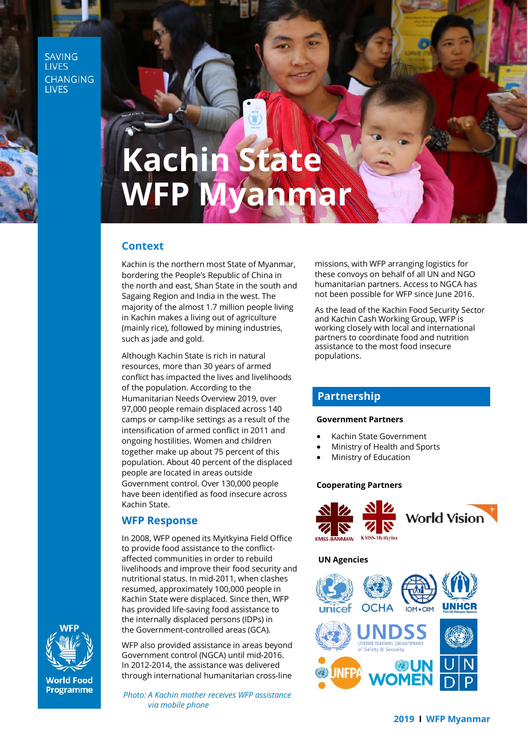**SAVING LIVES CHANGING LIVES** 

# **Kachin State** WFP Myanmar

## **Context**

Kachin is the northern most State of Myanmar, bordering the People's Republic of China in the north and east, Shan State in the south and Sagaing Region and India in the west. The majority of the almost 1.7 million people living in Kachin makes a living out of agriculture (mainly rice), followed by mining industries, such as jade and gold.

Although Kachin State is rich in natural resources, more than 30 years of armed conflict has impacted the lives and livelihoods of the population. According to the Humanitarian Needs Overview 2019, over 97,000 people remain displaced across 140 camps or camp-like settings as a result of the intensification of armed conflict in 2011 and ongoing hostilities. Women and children together make up about 75 percent of this population. About 40 percent of the displaced people are located in areas outside Government control. Over 130,000 people have been identified as food insecure across Kachin State.

#### **WFP Response**

In 2008, WFP opened its Myitkyina Field Office to provide food assistance to the conflictaffected communities in order to rebuild livelihoods and improve their food security and nutritional status. In mid-2011, when clashes resumed, approximately 100,000 people in Kachin State were displaced. Since then, WFP has provided life-saving food assistance to the internally displaced persons (IDPs) in the Government-controlled areas (GCA).

WFP also provided assistance in areas beyond Government control (NGCA) until mid-2016. In 2012-2014, the assistance was delivered through international humanitarian cross-line

*Photo: A Kachin mother receives WFP assistance via mobile phone* 

missions, with WFP arranging logistics for these convoys on behalf of all UN and NGO humanitarian partners. Access to NGCA has not been possible for WFP since June 2016.

As the lead of the Kachin Food Security Sector and Kachin Cash Working Group, WFP is working closely with local and international partners to coordinate food and nutrition assistance to the most food insecure populations.

## **Partnership**

#### **Government Partners**

- Kachin State Government
- Ministry of Health and Sports
- Ministry of Education

#### **Cooperating Partners**



#### **UN Agencies**





**World Food** Programme